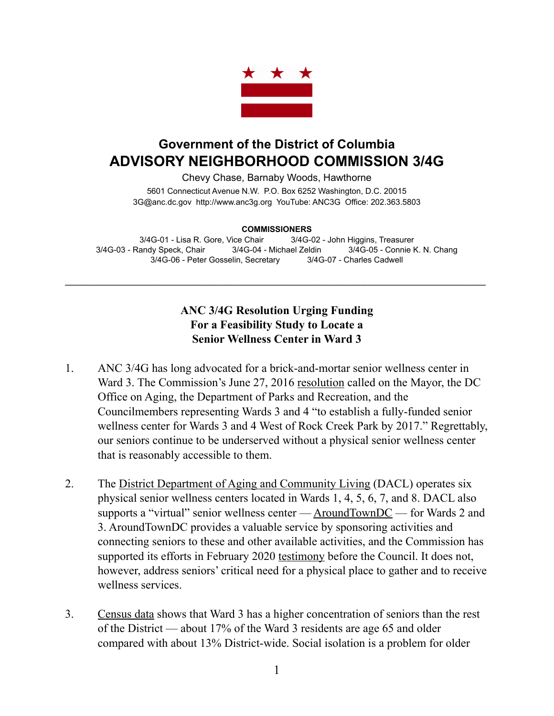

## **Government of the District of Columbia ADVISORY NEIGHBORHOOD COMMISSION 3/4G**

Chevy Chase, Barnaby Woods, Hawthorne 5601 Connecticut Avenue N.W. P.O. Box 6252 Washington, D.C. 20015 3G@anc.dc.gov <http://www.anc3g.org>YouTube: ANC3G Office: 202.363.5803

## **COMMISSIONERS**

3/4G-01 - Lisa R. Gore, Vice Chair 3/4G-02 - John Higgins, Treasurer 3/4G-03 - Randy Speck, Chair 3/4G-04 - Michael Zeldin 3/4G-05 - Connie K. N. Chang 3/4G-06 - Peter Gosselin, Secretary 3/4G-07 - Charles Cadwell

\_\_\_\_\_\_\_\_\_\_\_\_\_\_\_\_\_\_\_\_\_\_\_\_\_\_\_\_\_\_\_\_\_\_\_\_\_\_\_\_\_\_\_\_\_\_\_\_\_\_\_\_\_\_\_\_\_\_\_\_\_\_\_\_\_\_\_\_\_\_\_\_\_\_\_\_

## **ANC 3/4G Resolution Urging Funding For a Feasibility Study to Locate a Senior Wellness Center in Ward 3**

- 1. ANC 3/4G has long advocated for a brick-and-mortar senior wellness center in Ward 3. The Commission's June 27, 2016 [resolution](https://anc3g.org/wp-content/uploads/2014/09/Senior-Wellness-Center-resolution-2016.pdf) called on the Mayor, the DC Office on Aging, the Department of Parks and Recreation, and the Councilmembers representing Wards 3 and 4 "to establish a fully-funded senior wellness center for Wards 3 and 4 West of Rock Creek Park by 2017." Regrettably, our seniors continue to be underserved without a physical senior wellness center that is reasonably accessible to them.
- 2. The [District Department of Aging and Community Living](https://dacl.dc.gov/service/senior-wellness-centers-0) (DACL) operates six physical senior wellness centers located in Wards 1, 4, 5, 6, 7, and 8. DACL also supports a "virtual" senior wellness center — [AroundTownDC](https://www.aroundtowndc.org) — for Wards 2 and 3. AroundTownDC provides a valuable service by sponsoring activities and connecting seniors to these and other available activities, and the Commission has supported its efforts in February 2020 [testimony](https://anc3g.org/wp-content/uploads/2020/02/ANC-Testimony-Oversight-Hearing-for-DACL-2-25-20.pdf) before the Council. It does not, however, address seniors' critical need for a physical place to gather and to receive wellness services.
- 3. [Census data](https://www.dchealthmatters.org/demographicdata?id=131490§ionId=935/) shows that Ward 3 has a higher concentration of seniors than the rest of the District — about 17% of the Ward 3 residents are age 65 and older compared with about 13% District-wide. Social isolation is a problem for older